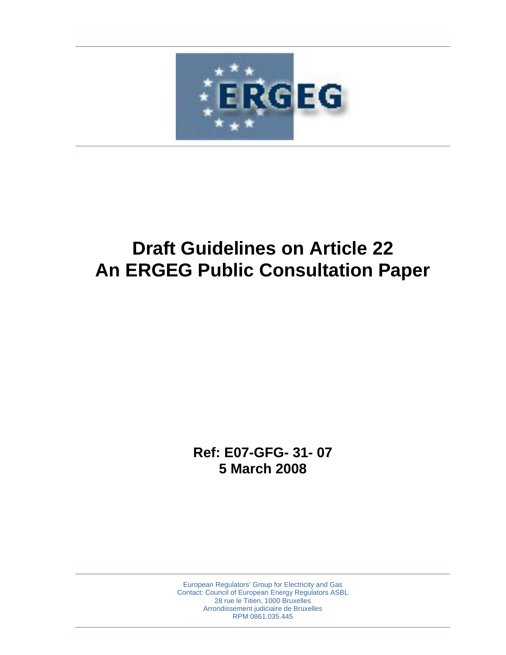

# **Draft Guidelines on Article 22 An ERGEG Public Consultation Paper**

**Ref: E07-GFG- 31- 07 5 March 2008** 

European Regulators' Group for Electricity and Gas Contact: Council of European Energy Regulators ASBL 28 rue le Titien, 1000 Bruxelles Arrondissement judiciaire de Bruxelles RPM 0861.035.445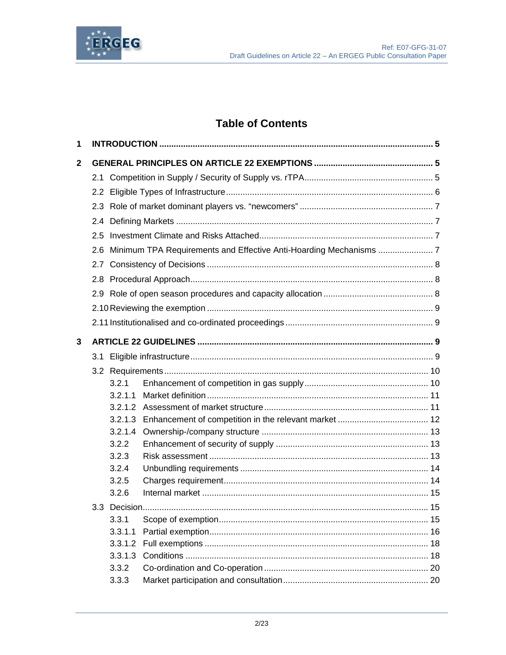

## **Table of Contents**

| 1              |  |         |  |  |  |  |
|----------------|--|---------|--|--|--|--|
| $\overline{2}$ |  |         |  |  |  |  |
|                |  |         |  |  |  |  |
|                |  |         |  |  |  |  |
|                |  |         |  |  |  |  |
|                |  |         |  |  |  |  |
|                |  |         |  |  |  |  |
|                |  |         |  |  |  |  |
|                |  |         |  |  |  |  |
|                |  |         |  |  |  |  |
|                |  |         |  |  |  |  |
|                |  |         |  |  |  |  |
|                |  |         |  |  |  |  |
|                |  |         |  |  |  |  |
| $\mathbf{3}$   |  |         |  |  |  |  |
|                |  |         |  |  |  |  |
|                |  |         |  |  |  |  |
|                |  | 3.2.1   |  |  |  |  |
|                |  | 3.2.1.1 |  |  |  |  |
|                |  |         |  |  |  |  |
|                |  |         |  |  |  |  |
|                |  | 3.2.1.4 |  |  |  |  |
|                |  | 3.2.2   |  |  |  |  |
|                |  | 3.2.3   |  |  |  |  |
|                |  | 3.2.4   |  |  |  |  |
|                |  | 3.2.5   |  |  |  |  |
|                |  | 3.2.6   |  |  |  |  |
|                |  |         |  |  |  |  |
|                |  | 3.3.1   |  |  |  |  |
|                |  | 3.3.1.1 |  |  |  |  |
|                |  | 3.3.1.2 |  |  |  |  |
|                |  | 3.3.1.3 |  |  |  |  |
|                |  | 3.3.2   |  |  |  |  |
|                |  | 3.3.3   |  |  |  |  |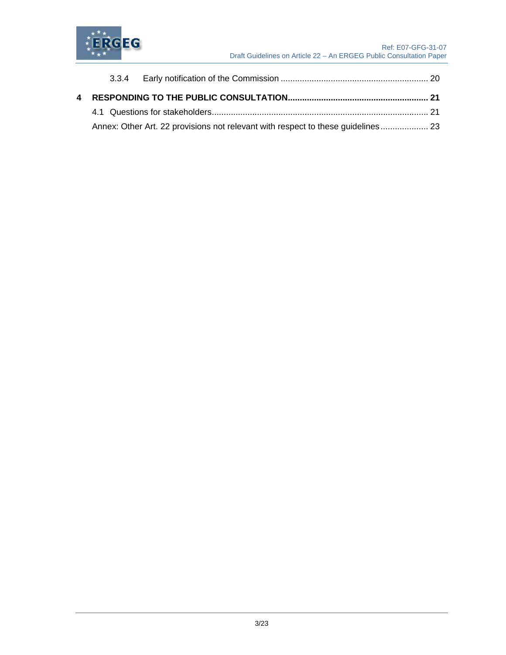

|  | Annex: Other Art. 22 provisions not relevant with respect to these guidelines 23 |  |
|--|----------------------------------------------------------------------------------|--|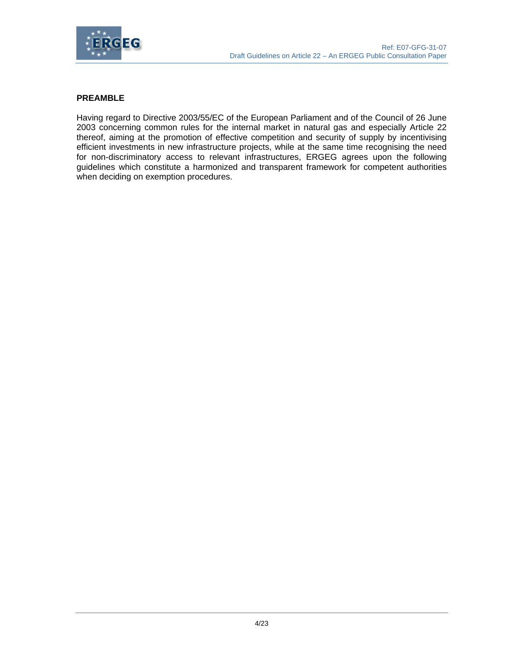

#### **PREAMBLE**

Having regard to Directive 2003/55/EC of the European Parliament and of the Council of 26 June 2003 concerning common rules for the internal market in natural gas and especially Article 22 thereof, aiming at the promotion of effective competition and security of supply by incentivising efficient investments in new infrastructure projects, while at the same time recognising the need for non-discriminatory access to relevant infrastructures, ERGEG agrees upon the following guidelines which constitute a harmonized and transparent framework for competent authorities when deciding on exemption procedures.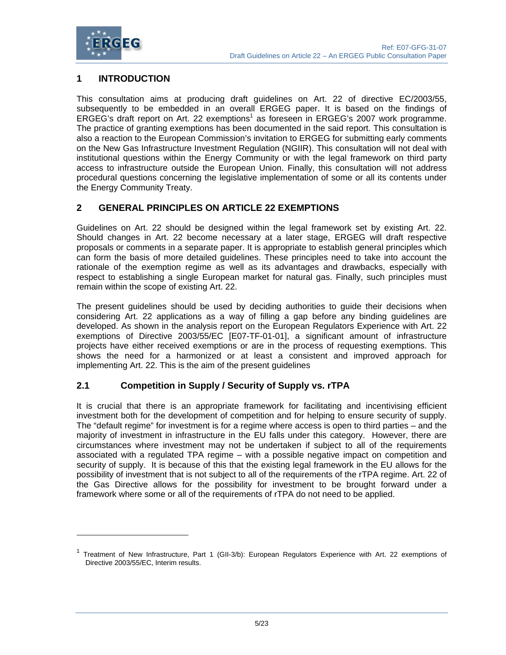

l

## **1 INTRODUCTION**

This consultation aims at producing draft guidelines on Art. 22 of directive EC/2003/55, subsequently to be embedded in an overall ERGEG paper. It is based on the findings of ERGEG's draft report on Art. 22 exemptions<sup>1</sup> as foreseen in ERGEG's 2007 work programme. The practice of granting exemptions has been documented in the said report. This consultation is also a reaction to the European Commission's invitation to ERGEG for submitting early comments on the New Gas Infrastructure Investment Regulation (NGIIR). This consultation will not deal with institutional questions within the Energy Community or with the legal framework on third party access to infrastructure outside the European Union. Finally, this consultation will not address procedural questions concerning the legislative implementation of some or all its contents under the Energy Community Treaty.

## **2 GENERAL PRINCIPLES ON ARTICLE 22 EXEMPTIONS**

Guidelines on Art. 22 should be designed within the legal framework set by existing Art. 22. Should changes in Art. 22 become necessary at a later stage, ERGEG will draft respective proposals or comments in a separate paper. It is appropriate to establish general principles which can form the basis of more detailed guidelines. These principles need to take into account the rationale of the exemption regime as well as its advantages and drawbacks, especially with respect to establishing a single European market for natural gas. Finally, such principles must remain within the scope of existing Art. 22.

The present guidelines should be used by deciding authorities to guide their decisions when considering Art. 22 applications as a way of filling a gap before any binding guidelines are developed. As shown in the analysis report on the European Regulators Experience with Art. 22 exemptions of Directive 2003/55/EC [E07-TF-01-01], a significant amount of infrastructure projects have either received exemptions or are in the process of requesting exemptions. This shows the need for a harmonized or at least a consistent and improved approach for implementing Art. 22. This is the aim of the present guidelines

## **2.1 Competition in Supply / Security of Supply vs. rTPA**

It is crucial that there is an appropriate framework for facilitating and incentivising efficient investment both for the development of competition and for helping to ensure security of supply. The "default regime" for investment is for a regime where access is open to third parties – and the majority of investment in infrastructure in the EU falls under this category. However, there are circumstances where investment may not be undertaken if subject to all of the requirements associated with a regulated TPA regime – with a possible negative impact on competition and security of supply. It is because of this that the existing legal framework in the EU allows for the possibility of investment that is not subject to all of the requirements of the rTPA regime. Art. 22 of the Gas Directive allows for the possibility for investment to be brought forward under a framework where some or all of the requirements of rTPA do not need to be applied.

<sup>&</sup>lt;sup>1</sup> Treatment of New Infrastructure, Part 1 (GII-3/b): European Regulators Experience with Art. 22 exemptions of Directive 2003/55/EC, Interim results.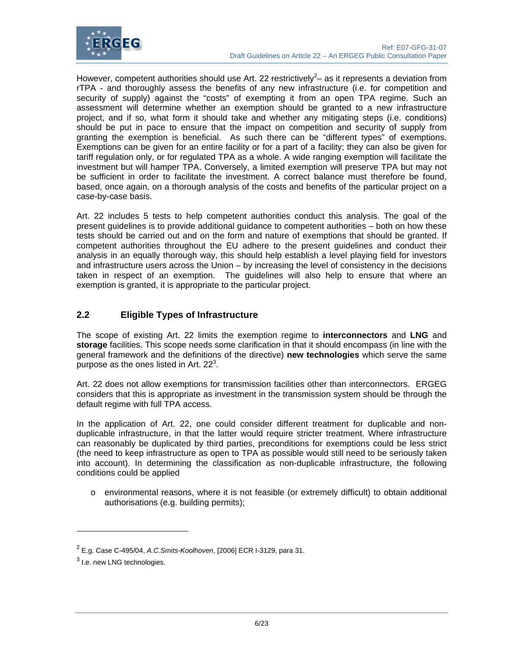

However, competent authorities should use Art. 22 restrictively<sup>2</sup> – as it represents a deviation from rTPA - and thoroughly assess the benefits of any new infrastructure (i.e. for competition and security of supply) against the "costs" of exempting it from an open TPA regime. Such an assessment will determine whether an exemption should be granted to a new infrastructure project, and if so, what form it should take and whether any mitigating steps (i.e. conditions) should be put in pace to ensure that the impact on competition and security of supply from granting the exemption is beneficial. As such there can be "different types" of exemptions. Exemptions can be given for an entire facility or for a part of a facility; they can also be given for tariff regulation only, or for regulated TPA as a whole. A wide ranging exemption will facilitate the investment but will hamper TPA. Conversely, a limited exemption will preserve TPA but may not be sufficient in order to facilitate the investment. A correct balance must therefore be found, based, once again, on a thorough analysis of the costs and benefits of the particular project on a case-by-case basis.

Art. 22 includes 5 tests to help competent authorities conduct this analysis. The goal of the present guidelines is to provide additional guidance to competent authorities – both on how these tests should be carried out and on the form and nature of exemptions that should be granted. If competent authorities throughout the EU adhere to the present guidelines and conduct their analysis in an equally thorough way, this should help establish a level playing field for investors and infrastructure users across the Union – by increasing the level of consistency in the decisions taken in respect of an exemption. The guidelines will also help to ensure that where an exemption is granted, it is appropriate to the particular project.

## **2.2 Eligible Types of Infrastructure**

The scope of existing Art. 22 limits the exemption regime to **interconnectors** and **LNG** and **storage** facilities. This scope needs some clarification in that it should encompass (in line with the general framework and the definitions of the directive) **new technologies** which serve the same purpose as the ones listed in Art.  $22<sup>3</sup>$ .

Art. 22 does not allow exemptions for transmission facilities other than interconnectors. ERGEG considers that this is appropriate as investment in the transmission system should be through the default regime with full TPA access.

In the application of Art. 22, one could consider different treatment for duplicable and nonduplicable infrastructure, in that the latter would require stricter treatment. Where infrastructure can reasonably be duplicated by third parties, preconditions for exemptions could be less strict (the need to keep infrastructure as open to TPA as possible would still need to be seriously taken into account). In determining the classification as non-duplicable infrastructure, the following conditions could be applied

o environmental reasons, where it is not feasible (or extremely difficult) to obtain additional authorisations (e.g. building permits);

 $\overline{a}$ 

<sup>2</sup> E.g. Case C-495/04, *A.C.Smits-Koolhoven*, [2006] ECR I-3129, para 31.

 $^3$  I.e. new LNG technologies.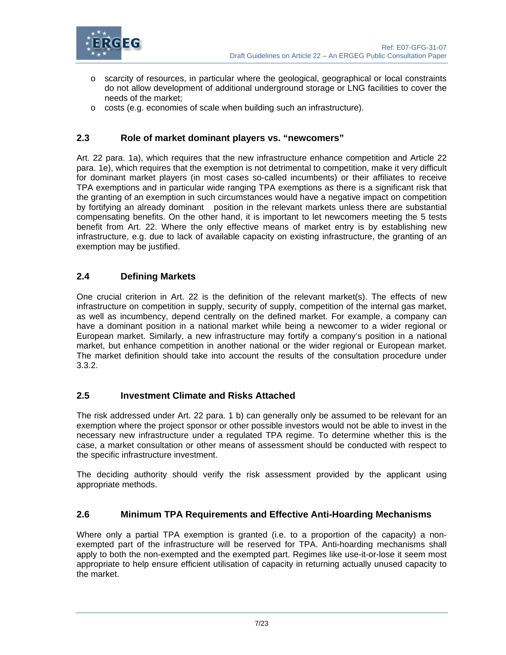

- $\circ$  scarcity of resources, in particular where the geological, geographical or local constraints do not allow development of additional underground storage or LNG facilities to cover the needs of the market;
- o costs (e.g. economies of scale when building such an infrastructure).

### **2.3 Role of market dominant players vs. "newcomers"**

Art. 22 para. 1a), which requires that the new infrastructure enhance competition and Article 22 para. 1e), which requires that the exemption is not detrimental to competition, make it very difficult for dominant market players (in most cases so-called incumbents) or their affiliates to receive TPA exemptions and in particular wide ranging TPA exemptions as there is a significant risk that the granting of an exemption in such circumstances would have a negative impact on competition by fortifying an already dominant position in the relevant markets unless there are substantial compensating benefits. On the other hand, it is important to let newcomers meeting the 5 tests benefit from Art. 22. Where the only effective means of market entry is by establishing new infrastructure, e.g. due to lack of available capacity on existing infrastructure, the granting of an exemption may be justified.

#### **2.4 Defining Markets**

One crucial criterion in Art. 22 is the definition of the relevant market(s). The effects of new infrastructure on competition in supply, security of supply, competition of the internal gas market, as well as incumbency, depend centrally on the defined market. For example, a company can have a dominant position in a national market while being a newcomer to a wider regional or European market. Similarly, a new infrastructure may fortify a company's position in a national market, but enhance competition in another national or the wider regional or European market. The market definition should take into account the results of the consultation procedure under 3.3.2.

## **2.5 Investment Climate and Risks Attached**

The risk addressed under Art. 22 para. 1 b) can generally only be assumed to be relevant for an exemption where the project sponsor or other possible investors would not be able to invest in the necessary new infrastructure under a regulated TPA regime. To determine whether this is the case, a market consultation or other means of assessment should be conducted with respect to the specific infrastructure investment.

The deciding authority should verify the risk assessment provided by the applicant using appropriate methods.

#### **2.6 Minimum TPA Requirements and Effective Anti-Hoarding Mechanisms**

Where only a partial TPA exemption is granted (i.e. to a proportion of the capacity) a nonexempted part of the infrastructure will be reserved for TPA. Anti-hoarding mechanisms shall apply to both the non-exempted and the exempted part. Regimes like use-it-or-lose it seem most appropriate to help ensure efficient utilisation of capacity in returning actually unused capacity to the market.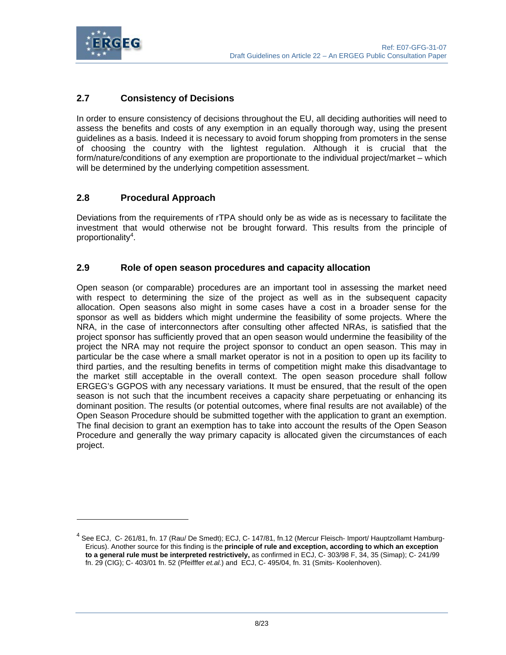

l

## **2.7 Consistency of Decisions**

In order to ensure consistency of decisions throughout the EU, all deciding authorities will need to assess the benefits and costs of any exemption in an equally thorough way, using the present guidelines as a basis. Indeed it is necessary to avoid forum shopping from promoters in the sense of choosing the country with the lightest regulation. Although it is crucial that the form/nature/conditions of any exemption are proportionate to the individual project/market – which will be determined by the underlying competition assessment.

## **2.8 Procedural Approach**

Deviations from the requirements of rTPA should only be as wide as is necessary to facilitate the investment that would otherwise not be brought forward. This results from the principle of proportionality<sup>4</sup>.

## **2.9 Role of open season procedures and capacity allocation**

Open season (or comparable) procedures are an important tool in assessing the market need with respect to determining the size of the project as well as in the subsequent capacity allocation. Open seasons also might in some cases have a cost in a broader sense for the sponsor as well as bidders which might undermine the feasibility of some projects. Where the NRA, in the case of interconnectors after consulting other affected NRAs, is satisfied that the project sponsor has sufficiently proved that an open season would undermine the feasibility of the project the NRA may not require the project sponsor to conduct an open season. This may in particular be the case where a small market operator is not in a position to open up its facility to third parties, and the resulting benefits in terms of competition might make this disadvantage to the market still acceptable in the overall context. The open season procedure shall follow ERGEG's GGPOS with any necessary variations. It must be ensured, that the result of the open season is not such that the incumbent receives a capacity share perpetuating or enhancing its dominant position. The results (or potential outcomes, where final results are not available) of the Open Season Procedure should be submitted together with the application to grant an exemption. The final decision to grant an exemption has to take into account the results of the Open Season Procedure and generally the way primary capacity is allocated given the circumstances of each project.

<sup>&</sup>lt;sup>4</sup> See ECJ, C- 261/81, fn. 17 (Rau/ De Smedt); ECJ, C- 147/81, fn.12 (Mercur Fleisch- Import/ Hauptzollamt Hamburg-Ericus). Another source for this finding is the **principle of rule and exception, according to which an exception to a general rule must be interpreted restrictively,** as confirmed in ECJ, C- 303/98 F, 34, 35 (Simap); C- 241/99 fn. 29 (CIG); C- 403/01 fn. 52 (Pfeifffer *et.al.*) and ECJ, C- 495/04, fn. 31 (Smits- Koolenhoven).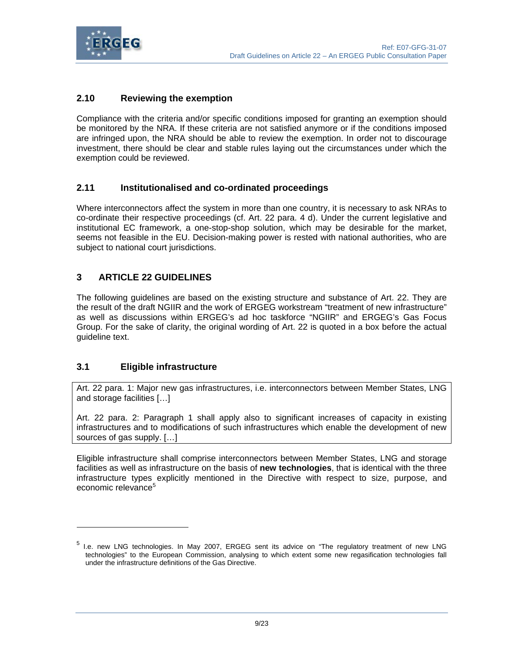

## **2.10 Reviewing the exemption**

Compliance with the criteria and/or specific conditions imposed for granting an exemption should be monitored by the NRA. If these criteria are not satisfied anymore or if the conditions imposed are infringed upon, the NRA should be able to review the exemption. In order not to discourage investment, there should be clear and stable rules laying out the circumstances under which the exemption could be reviewed.

## **2.11 Institutionalised and co-ordinated proceedings**

Where interconnectors affect the system in more than one country, it is necessary to ask NRAs to co-ordinate their respective proceedings (cf. Art. 22 para. 4 d). Under the current legislative and institutional EC framework, a one-stop-shop solution, which may be desirable for the market, seems not feasible in the EU. Decision-making power is rested with national authorities, who are subject to national court jurisdictions.

## **3 ARTICLE 22 GUIDELINES**

The following guidelines are based on the existing structure and substance of Art. 22. They are the result of the draft NGIIR and the work of ERGEG workstream "treatment of new infrastructure" as well as discussions within ERGEG's ad hoc taskforce "NGIIR" and ERGEG's Gas Focus Group. For the sake of clarity, the original wording of Art. 22 is quoted in a box before the actual guideline text.

## **3.1 Eligible infrastructure**

l

Art. 22 para. 1: Major new gas infrastructures, i.e. interconnectors between Member States, LNG and storage facilities […]

Art. 22 para. 2: Paragraph 1 shall apply also to significant increases of capacity in existing infrastructures and to modifications of such infrastructures which enable the development of new sources of gas supply. […]

Eligible infrastructure shall comprise interconnectors between Member States, LNG and storage facilities as well as infrastructure on the basis of **new technologies**, that is identical with the three infrastructure types explicitly mentioned in the Directive with respect to size, purpose, and economic relevance<sup>5</sup>

<sup>5</sup> I.e. new LNG technologies. In May 2007, ERGEG sent its advice on "The regulatory treatment of new LNG technologies" to the European Commission, analysing to which extent some new regasification technologies fall under the infrastructure definitions of the Gas Directive.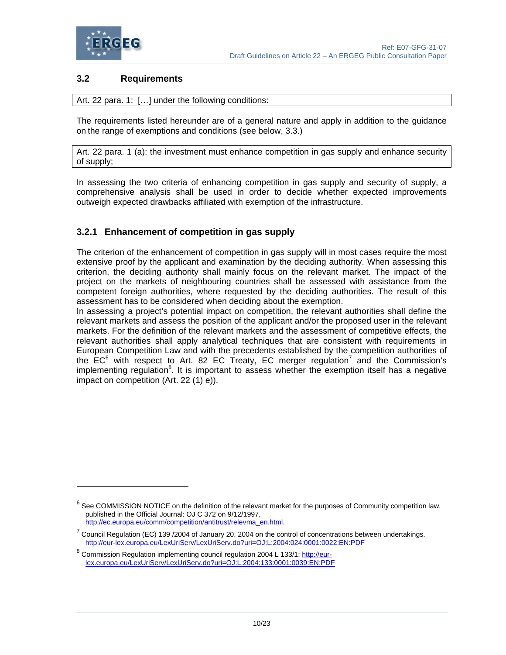

 $\overline{a}$ 

## **3.2 Requirements**

Art. 22 para. 1: […] under the following conditions:

The requirements listed hereunder are of a general nature and apply in addition to the guidance on the range of exemptions and conditions (see below, 3.3.)

Art. 22 para. 1 (a): the investment must enhance competition in gas supply and enhance security of supply;

In assessing the two criteria of enhancing competition in gas supply and security of supply, a comprehensive analysis shall be used in order to decide whether expected improvements outweigh expected drawbacks affiliated with exemption of the infrastructure.

## **3.2.1 Enhancement of competition in gas supply**

The criterion of the enhancement of competition in gas supply will in most cases require the most extensive proof by the applicant and examination by the deciding authority. When assessing this criterion, the deciding authority shall mainly focus on the relevant market. The impact of the project on the markets of neighbouring countries shall be assessed with assistance from the competent foreign authorities, where requested by the deciding authorities. The result of this assessment has to be considered when deciding about the exemption.

In assessing a project's potential impact on competition, the relevant authorities shall define the relevant markets and assess the position of the applicant and/or the proposed user in the relevant markets. For the definition of the relevant markets and the assessment of competitive effects, the relevant authorities shall apply analytical techniques that are consistent with requirements in European Competition Law and with the precedents established by the competition authorities of the  $EC<sup>6</sup>$  with respect to Art. 82 EC Treaty, EC merger regulation<sup>7</sup> and the Commission's implementing regulation<sup>8</sup>. It is important to assess whether the exemption itself has a negative impact on competition (Art. 22 (1) e)).

 $<sup>6</sup>$  See COMMISSION NOTICE on the definition of the relevant market for the purposes of Community competition law,</sup> published in the Official Journal: OJ C 372 on 9/12/1997, http://ec.europa.eu/comm/competition/antitrust/relevma\_en.html.

 $<sup>7</sup>$  Council Regulation (EC) 139 /2004 of January 20, 2004 on the control of concentrations between undertakings.</sup> http://eur-lex.europa.eu/LexUriServ/LexUriServ.do?uri=OJ:L:2004:024:0001:0022:EN:PDF

<sup>&</sup>lt;sup>8</sup> Commission Regulation implementing council regulation 2004 L 133/1; http://eurlex.europa.eu/LexUriServ/LexUriServ.do?uri=OJ:L:2004:133:0001:0039:EN:PDF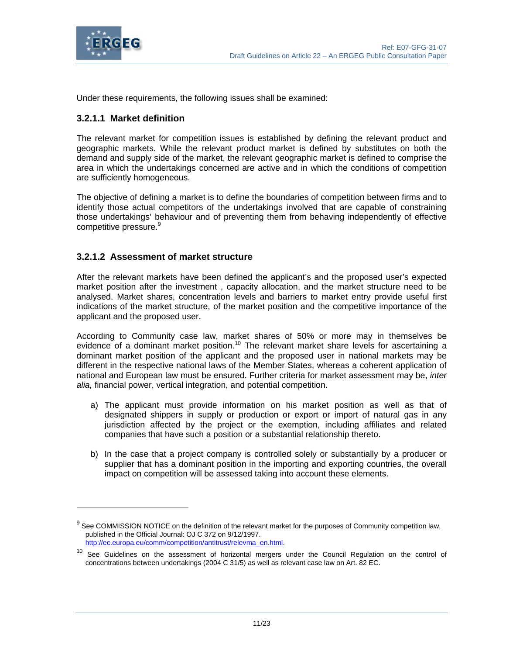

 $\overline{a}$ 

Under these requirements, the following issues shall be examined:

## **3.2.1.1 Market definition**

The relevant market for competition issues is established by defining the relevant product and geographic markets. While the relevant product market is defined by substitutes on both the demand and supply side of the market, the relevant geographic market is defined to comprise the area in which the undertakings concerned are active and in which the conditions of competition are sufficiently homogeneous.

The objective of defining a market is to define the boundaries of competition between firms and to identify those actual competitors of the undertakings involved that are capable of constraining those undertakings' behaviour and of preventing them from behaving independently of effective competitive pressure.<sup>9</sup>

## **3.2.1.2 Assessment of market structure**

After the relevant markets have been defined the applicant's and the proposed user's expected market position after the investment , capacity allocation, and the market structure need to be analysed. Market shares, concentration levels and barriers to market entry provide useful first indications of the market structure, of the market position and the competitive importance of the applicant and the proposed user.

According to Community case law, market shares of 50% or more may in themselves be evidence of a dominant market position.<sup>10</sup> The relevant market share levels for ascertaining a dominant market position of the applicant and the proposed user in national markets may be different in the respective national laws of the Member States, whereas a coherent application of national and European law must be ensured. Further criteria for market assessment may be, *inter alia,* financial power, vertical integration, and potential competition.

- a) The applicant must provide information on his market position as well as that of designated shippers in supply or production or export or import of natural gas in any jurisdiction affected by the project or the exemption, including affiliates and related companies that have such a position or a substantial relationship thereto.
- b) In the case that a project company is controlled solely or substantially by a producer or supplier that has a dominant position in the importing and exporting countries, the overall impact on competition will be assessed taking into account these elements.

 $9$  See COMMISSION NOTICE on the definition of the relevant market for the purposes of Community competition law, published in the Official Journal: OJ C 372 on 9/12/1997. http://ec.europa.eu/comm/competition/antitrust/relevma\_en.html.

<sup>&</sup>lt;sup>10</sup> See Guidelines on the assessment of horizontal mergers under the Council Regulation on the control of concentrations between undertakings (2004 C 31/5) as well as relevant case law on Art. 82 EC.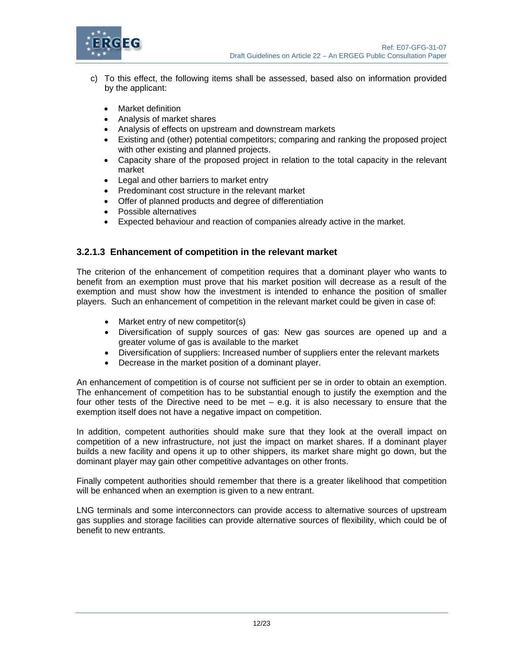

- c) To this effect, the following items shall be assessed, based also on information provided by the applicant:
	- Market definition
	- Analysis of market shares
	- Analysis of effects on upstream and downstream markets
	- Existing and (other) potential competitors; comparing and ranking the proposed project with other existing and planned projects.
	- Capacity share of the proposed project in relation to the total capacity in the relevant market
	- Legal and other barriers to market entry
	- Predominant cost structure in the relevant market
	- Offer of planned products and degree of differentiation
	- Possible alternatives
	- Expected behaviour and reaction of companies already active in the market.

## **3.2.1.3 Enhancement of competition in the relevant market**

The criterion of the enhancement of competition requires that a dominant player who wants to benefit from an exemption must prove that his market position will decrease as a result of the exemption and must show how the investment is intended to enhance the position of smaller players. Such an enhancement of competition in the relevant market could be given in case of:

- Market entry of new competitor(s)
- Diversification of supply sources of gas: New gas sources are opened up and a greater volume of gas is available to the market
- Diversification of suppliers: Increased number of suppliers enter the relevant markets
- Decrease in the market position of a dominant player.

An enhancement of competition is of course not sufficient per se in order to obtain an exemption. The enhancement of competition has to be substantial enough to justify the exemption and the four other tests of the Directive need to be met – e.g. it is also necessary to ensure that the exemption itself does not have a negative impact on competition.

In addition, competent authorities should make sure that they look at the overall impact on competition of a new infrastructure, not just the impact on market shares. If a dominant player builds a new facility and opens it up to other shippers, its market share might go down, but the dominant player may gain other competitive advantages on other fronts.

Finally competent authorities should remember that there is a greater likelihood that competition will be enhanced when an exemption is given to a new entrant.

LNG terminals and some interconnectors can provide access to alternative sources of upstream gas supplies and storage facilities can provide alternative sources of flexibility, which could be of benefit to new entrants.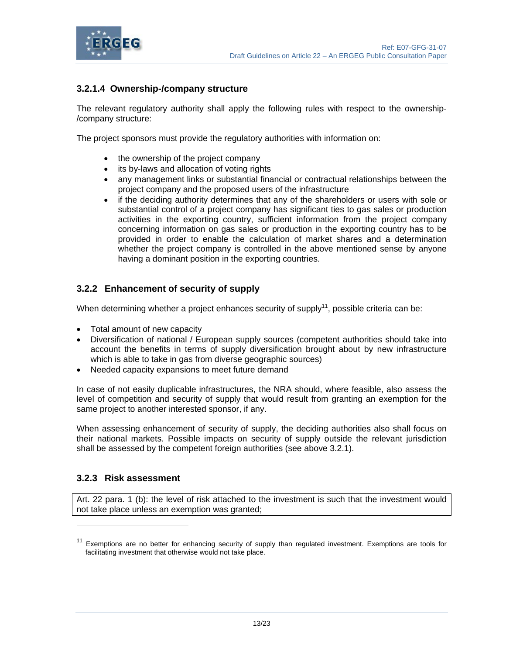



## **3.2.1.4 Ownership-/company structure**

The relevant regulatory authority shall apply the following rules with respect to the ownership- /company structure:

The project sponsors must provide the regulatory authorities with information on:

- the ownership of the project company
- its by-laws and allocation of voting rights
- any management links or substantial financial or contractual relationships between the project company and the proposed users of the infrastructure
- if the deciding authority determines that any of the shareholders or users with sole or substantial control of a project company has significant ties to gas sales or production activities in the exporting country, sufficient information from the project company concerning information on gas sales or production in the exporting country has to be provided in order to enable the calculation of market shares and a determination whether the project company is controlled in the above mentioned sense by anyone having a dominant position in the exporting countries.

## **3.2.2 Enhancement of security of supply**

When determining whether a project enhances security of supply<sup>11</sup>, possible criteria can be:

- Total amount of new capacity
- Diversification of national / European supply sources (competent authorities should take into account the benefits in terms of supply diversification brought about by new infrastructure which is able to take in gas from diverse geographic sources)
- Needed capacity expansions to meet future demand

In case of not easily duplicable infrastructures, the NRA should, where feasible, also assess the level of competition and security of supply that would result from granting an exemption for the same project to another interested sponsor, if any.

When assessing enhancement of security of supply, the deciding authorities also shall focus on their national markets. Possible impacts on security of supply outside the relevant jurisdiction shall be assessed by the competent foreign authorities (see above 3.2.1).

## **3.2.3 Risk assessment**

 $\overline{a}$ 

Art. 22 para. 1 (b): the level of risk attached to the investment is such that the investment would not take place unless an exemption was granted;

<sup>&</sup>lt;sup>11</sup> Exemptions are no better for enhancing security of supply than regulated investment. Exemptions are tools for facilitating investment that otherwise would not take place.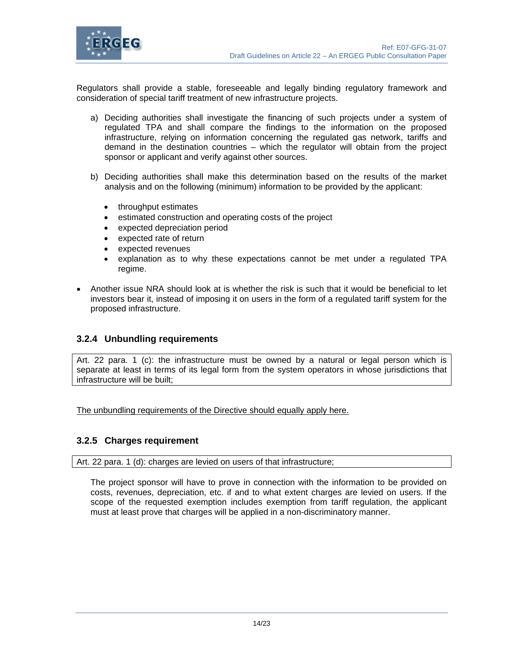

Regulators shall provide a stable, foreseeable and legally binding regulatory framework and consideration of special tariff treatment of new infrastructure projects.

- a) Deciding authorities shall investigate the financing of such projects under a system of regulated TPA and shall compare the findings to the information on the proposed infrastructure, relying on information concerning the regulated gas network, tariffs and demand in the destination countries – which the regulator will obtain from the project sponsor or applicant and verify against other sources.
- b) Deciding authorities shall make this determination based on the results of the market analysis and on the following (minimum) information to be provided by the applicant:
	- throughput estimates
	- estimated construction and operating costs of the project
	- expected depreciation period
	- expected rate of return
	- expected revenues
	- explanation as to why these expectations cannot be met under a regulated TPA regime.
- Another issue NRA should look at is whether the risk is such that it would be beneficial to let investors bear it, instead of imposing it on users in the form of a regulated tariff system for the proposed infrastructure.

#### **3.2.4 Unbundling requirements**

Art. 22 para. 1 (c): the infrastructure must be owned by a natural or legal person which is separate at least in terms of its legal form from the system operators in whose jurisdictions that infrastructure will be built;

The unbundling requirements of the Directive should equally apply here.

#### **3.2.5 Charges requirement**

Art. 22 para. 1 (d): charges are levied on users of that infrastructure;

The project sponsor will have to prove in connection with the information to be provided on costs, revenues, depreciation, etc. if and to what extent charges are levied on users. If the scope of the requested exemption includes exemption from tariff regulation, the applicant must at least prove that charges will be applied in a non-discriminatory manner.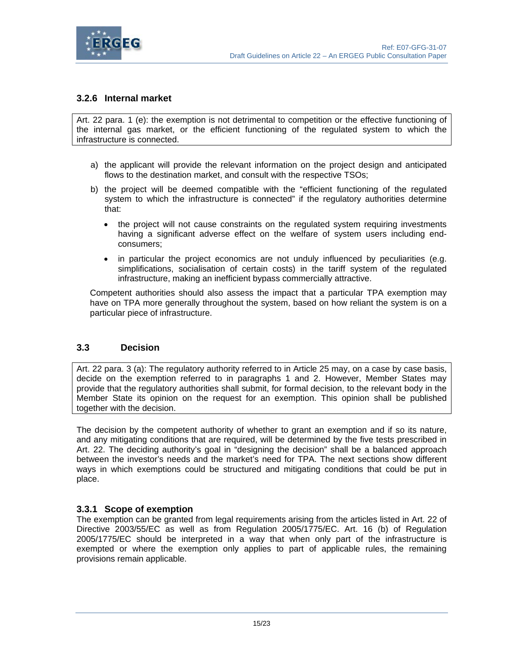

## **3.2.6 Internal market**

Art. 22 para. 1 (e): the exemption is not detrimental to competition or the effective functioning of the internal gas market, or the efficient functioning of the regulated system to which the infrastructure is connected.

- a) the applicant will provide the relevant information on the project design and anticipated flows to the destination market, and consult with the respective TSOs;
- b) the project will be deemed compatible with the "efficient functioning of the regulated system to which the infrastructure is connected" if the regulatory authorities determine that:
	- the project will not cause constraints on the regulated system requiring investments having a significant adverse effect on the welfare of system users including endconsumers;
	- in particular the project economics are not unduly influenced by peculiarities (e.g. simplifications, socialisation of certain costs) in the tariff system of the regulated infrastructure, making an inefficient bypass commercially attractive.

Competent authorities should also assess the impact that a particular TPA exemption may have on TPA more generally throughout the system, based on how reliant the system is on a particular piece of infrastructure.

#### **3.3 Decision**

Art. 22 para. 3 (a): The regulatory authority referred to in Article 25 may, on a case by case basis, decide on the exemption referred to in paragraphs 1 and 2. However, Member States may provide that the regulatory authorities shall submit, for formal decision, to the relevant body in the Member State its opinion on the request for an exemption. This opinion shall be published together with the decision.

The decision by the competent authority of whether to grant an exemption and if so its nature, and any mitigating conditions that are required, will be determined by the five tests prescribed in Art. 22. The deciding authority's goal in "designing the decision" shall be a balanced approach between the investor's needs and the market's need for TPA. The next sections show different ways in which exemptions could be structured and mitigating conditions that could be put in place.

#### **3.3.1 Scope of exemption**

The exemption can be granted from legal requirements arising from the articles listed in Art. 22 of Directive 2003/55/EC as well as from Regulation 2005/1775/EC. Art. 16 (b) of Regulation 2005/1775/EC should be interpreted in a way that when only part of the infrastructure is exempted or where the exemption only applies to part of applicable rules, the remaining provisions remain applicable.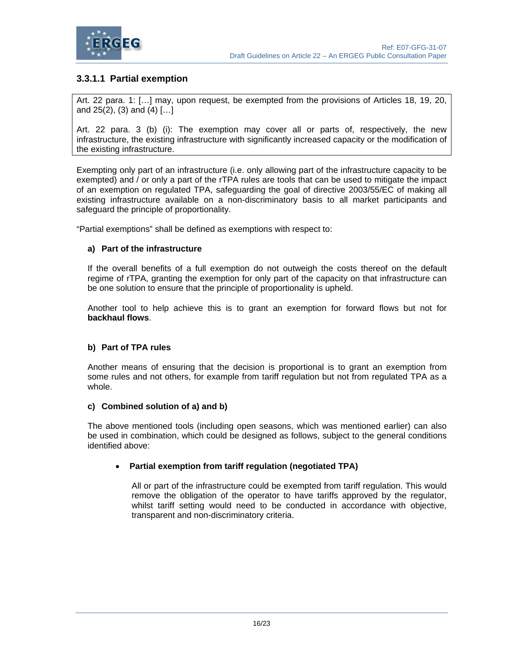

## **3.3.1.1 Partial exemption**

Art. 22 para. 1: […] may, upon request, be exempted from the provisions of Articles 18, 19, 20, and  $25(2)$ ,  $(3)$  and  $(4)$   $[$ ...]

Art. 22 para. 3 (b) (i): The exemption may cover all or parts of, respectively, the new infrastructure, the existing infrastructure with significantly increased capacity or the modification of the existing infrastructure.

Exempting only part of an infrastructure (i.e. only allowing part of the infrastructure capacity to be exempted) and / or only a part of the rTPA rules are tools that can be used to mitigate the impact of an exemption on regulated TPA, safeguarding the goal of directive 2003/55/EC of making all existing infrastructure available on a non-discriminatory basis to all market participants and safeguard the principle of proportionality.

"Partial exemptions" shall be defined as exemptions with respect to:

#### **a) Part of the infrastructure**

If the overall benefits of a full exemption do not outweigh the costs thereof on the default regime of rTPA, granting the exemption for only part of the capacity on that infrastructure can be one solution to ensure that the principle of proportionality is upheld.

Another tool to help achieve this is to grant an exemption for forward flows but not for **backhaul flows**.

#### **b) Part of TPA rules**

Another means of ensuring that the decision is proportional is to grant an exemption from some rules and not others, for example from tariff regulation but not from regulated TPA as a whole.

#### **c) Combined solution of a) and b)**

The above mentioned tools (including open seasons, which was mentioned earlier) can also be used in combination, which could be designed as follows, subject to the general conditions identified above:

#### • **Partial exemption from tariff regulation (negotiated TPA)**

All or part of the infrastructure could be exempted from tariff regulation. This would remove the obligation of the operator to have tariffs approved by the regulator, whilst tariff setting would need to be conducted in accordance with objective, transparent and non-discriminatory criteria.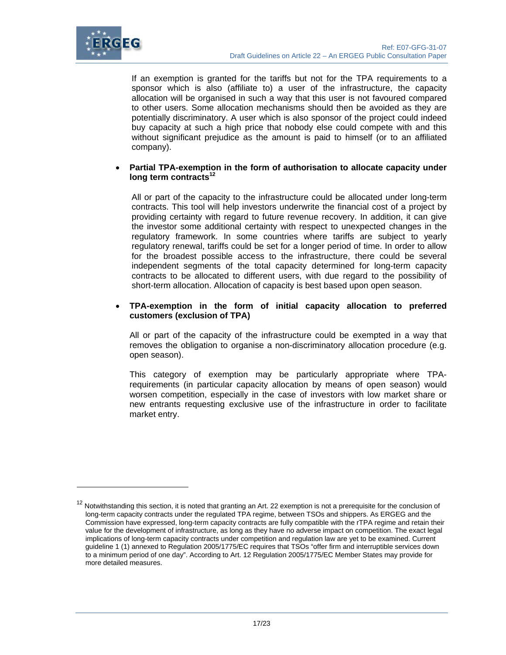

l

If an exemption is granted for the tariffs but not for the TPA requirements to a sponsor which is also (affiliate to) a user of the infrastructure, the capacity allocation will be organised in such a way that this user is not favoured compared to other users. Some allocation mechanisms should then be avoided as they are potentially discriminatory. A user which is also sponsor of the project could indeed buy capacity at such a high price that nobody else could compete with and this without significant prejudice as the amount is paid to himself (or to an affiliated company).

#### • **Partial TPA-exemption in the form of authorisation to allocate capacity under long term contracts<sup>12</sup>**

All or part of the capacity to the infrastructure could be allocated under long-term contracts. This tool will help investors underwrite the financial cost of a project by providing certainty with regard to future revenue recovery. In addition, it can give the investor some additional certainty with respect to unexpected changes in the regulatory framework. In some countries where tariffs are subject to yearly regulatory renewal, tariffs could be set for a longer period of time. In order to allow for the broadest possible access to the infrastructure, there could be several independent segments of the total capacity determined for long-term capacity contracts to be allocated to different users, with due regard to the possibility of short-term allocation. Allocation of capacity is best based upon open season.

#### • **TPA-exemption in the form of initial capacity allocation to preferred customers (exclusion of TPA)**

All or part of the capacity of the infrastructure could be exempted in a way that removes the obligation to organise a non-discriminatory allocation procedure (e.g. open season).

This category of exemption may be particularly appropriate where TPArequirements (in particular capacity allocation by means of open season) would worsen competition, especially in the case of investors with low market share or new entrants requesting exclusive use of the infrastructure in order to facilitate market entry.

<sup>&</sup>lt;sup>12</sup> Notwithstanding this section, it is noted that granting an Art. 22 exemption is not a prerequisite for the conclusion of long-term capacity contracts under the regulated TPA regime, between TSOs and shippers. As ERGEG and the Commission have expressed, long-term capacity contracts are fully compatible with the rTPA regime and retain their value for the development of infrastructure, as long as they have no adverse impact on competition. The exact legal implications of long-term capacity contracts under competition and regulation law are yet to be examined. Current guideline 1 (1) annexed to Regulation 2005/1775/EC requires that TSOs "offer firm and interruptible services down to a minimum period of one day". According to Art. 12 Regulation 2005/1775/EC Member States may provide for more detailed measures.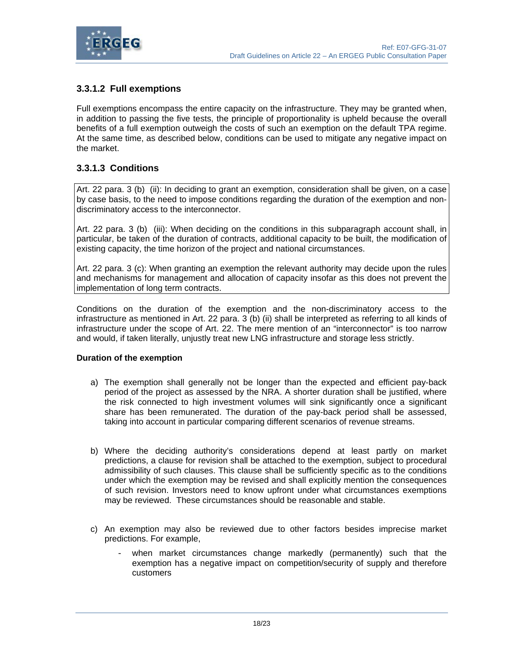

## **3.3.1.2 Full exemptions**

Full exemptions encompass the entire capacity on the infrastructure. They may be granted when, in addition to passing the five tests, the principle of proportionality is upheld because the overall benefits of a full exemption outweigh the costs of such an exemption on the default TPA regime. At the same time, as described below, conditions can be used to mitigate any negative impact on the market.

## **3.3.1.3 Conditions**

Art. 22 para. 3 (b) (ii): In deciding to grant an exemption, consideration shall be given, on a case by case basis, to the need to impose conditions regarding the duration of the exemption and nondiscriminatory access to the interconnector.

Art. 22 para. 3 (b) (iii): When deciding on the conditions in this subparagraph account shall, in particular, be taken of the duration of contracts, additional capacity to be built, the modification of existing capacity, the time horizon of the project and national circumstances.

Art. 22 para. 3 (c): When granting an exemption the relevant authority may decide upon the rules and mechanisms for management and allocation of capacity insofar as this does not prevent the implementation of long term contracts.

Conditions on the duration of the exemption and the non-discriminatory access to the infrastructure as mentioned in Art. 22 para. 3 (b) (ii) shall be interpreted as referring to all kinds of infrastructure under the scope of Art. 22. The mere mention of an "interconnector" is too narrow and would, if taken literally, unjustly treat new LNG infrastructure and storage less strictly.

#### **Duration of the exemption**

- a) The exemption shall generally not be longer than the expected and efficient pay-back period of the project as assessed by the NRA. A shorter duration shall be justified, where the risk connected to high investment volumes will sink significantly once a significant share has been remunerated. The duration of the pay-back period shall be assessed, taking into account in particular comparing different scenarios of revenue streams.
- b) Where the deciding authority's considerations depend at least partly on market predictions, a clause for revision shall be attached to the exemption, subject to procedural admissibility of such clauses. This clause shall be sufficiently specific as to the conditions under which the exemption may be revised and shall explicitly mention the consequences of such revision. Investors need to know upfront under what circumstances exemptions may be reviewed. These circumstances should be reasonable and stable.
- c) An exemption may also be reviewed due to other factors besides imprecise market predictions. For example,
	- when market circumstances change markedly (permanently) such that the exemption has a negative impact on competition/security of supply and therefore customers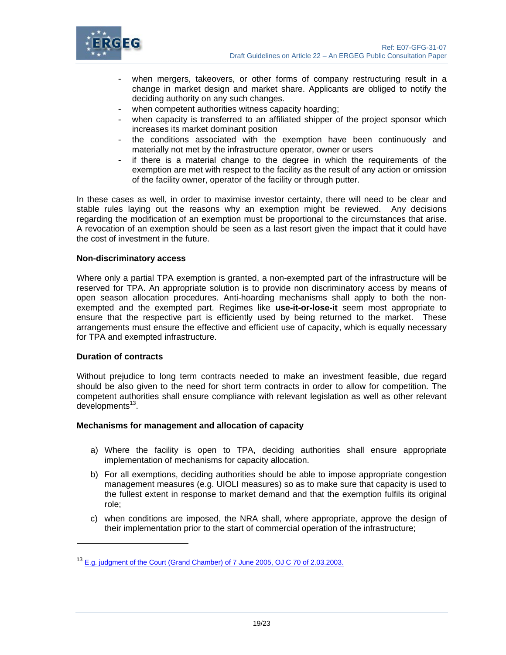

- when mergers, takeovers, or other forms of company restructuring result in a change in market design and market share. Applicants are obliged to notify the deciding authority on any such changes.
- when competent authorities witness capacity hoarding;
- when capacity is transferred to an affiliated shipper of the project sponsor which increases its market dominant position
- the conditions associated with the exemption have been continuously and materially not met by the infrastructure operator, owner or users
- if there is a material change to the degree in which the requirements of the exemption are met with respect to the facility as the result of any action or omission of the facility owner, operator of the facility or through putter.

In these cases as well, in order to maximise investor certainty, there will need to be clear and stable rules laying out the reasons why an exemption might be reviewed. Any decisions regarding the modification of an exemption must be proportional to the circumstances that arise. A revocation of an exemption should be seen as a last resort given the impact that it could have the cost of investment in the future.

#### **Non-discriminatory access**

Where only a partial TPA exemption is granted, a non-exempted part of the infrastructure will be reserved for TPA. An appropriate solution is to provide non discriminatory access by means of open season allocation procedures. Anti-hoarding mechanisms shall apply to both the nonexempted and the exempted part. Regimes like **use-it-or-lose-it** seem most appropriate to ensure that the respective part is efficiently used by being returned to the market. These arrangements must ensure the effective and efficient use of capacity, which is equally necessary for TPA and exempted infrastructure.

#### **Duration of contracts**

l

Without prejudice to long term contracts needed to make an investment feasible, due regard should be also given to the need for short term contracts in order to allow for competition. The competent authorities shall ensure compliance with relevant legislation as well as other relevant  $deve$ lopments<sup>13</sup>.

#### **Mechanisms for management and allocation of capacity**

- a) Where the facility is open to TPA, deciding authorities shall ensure appropriate implementation of mechanisms for capacity allocation.
- b) For all exemptions, deciding authorities should be able to impose appropriate congestion management measures (e.g. UIOLI measures) so as to make sure that capacity is used to the fullest extent in response to market demand and that the exemption fulfils its original role;
- c) when conditions are imposed, the NRA shall, where appropriate, approve the design of their implementation prior to the start of commercial operation of the infrastructure;

<sup>13</sup> E.g. judgment of the Court (Grand Chamber) of 7 June 2005, OJ C 70 of 2.03.2003.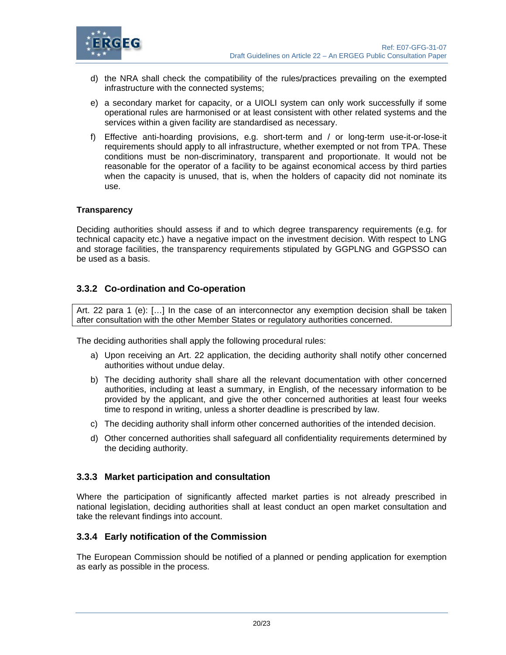

- d) the NRA shall check the compatibility of the rules/practices prevailing on the exempted infrastructure with the connected systems;
- e) a secondary market for capacity, or a UIOLI system can only work successfully if some operational rules are harmonised or at least consistent with other related systems and the services within a given facility are standardised as necessary.
- f) Effective anti-hoarding provisions, e.g. short-term and / or long-term use-it-or-lose-it requirements should apply to all infrastructure, whether exempted or not from TPA. These conditions must be non-discriminatory, transparent and proportionate. It would not be reasonable for the operator of a facility to be against economical access by third parties when the capacity is unused, that is, when the holders of capacity did not nominate its use.

#### **Transparency**

Deciding authorities should assess if and to which degree transparency requirements (e.g. for technical capacity etc.) have a negative impact on the investment decision. With respect to LNG and storage facilities, the transparency requirements stipulated by GGPLNG and GGPSSO can be used as a basis.

## **3.3.2 Co-ordination and Co-operation**

Art. 22 para 1 (e): […] In the case of an interconnector any exemption decision shall be taken after consultation with the other Member States or regulatory authorities concerned.

The deciding authorities shall apply the following procedural rules:

- a) Upon receiving an Art. 22 application, the deciding authority shall notify other concerned authorities without undue delay.
- b) The deciding authority shall share all the relevant documentation with other concerned authorities, including at least a summary, in English, of the necessary information to be provided by the applicant, and give the other concerned authorities at least four weeks time to respond in writing, unless a shorter deadline is prescribed by law.
- c) The deciding authority shall inform other concerned authorities of the intended decision.
- d) Other concerned authorities shall safeguard all confidentiality requirements determined by the deciding authority.

## **3.3.3 Market participation and consultation**

Where the participation of significantly affected market parties is not already prescribed in national legislation, deciding authorities shall at least conduct an open market consultation and take the relevant findings into account.

## **3.3.4 Early notification of the Commission**

The European Commission should be notified of a planned or pending application for exemption as early as possible in the process.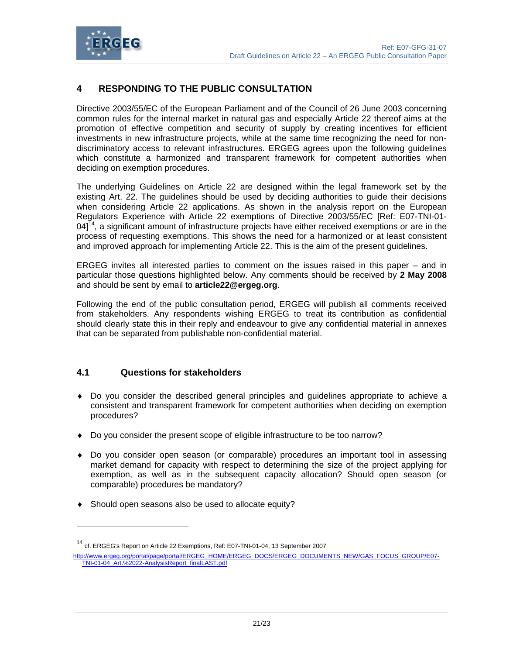

## **4 RESPONDING TO THE PUBLIC CONSULTATION**

Directive 2003/55/EC of the European Parliament and of the Council of 26 June 2003 concerning common rules for the internal market in natural gas and especially Article 22 thereof aims at the promotion of effective competition and security of supply by creating incentives for efficient investments in new infrastructure projects, while at the same time recognizing the need for nondiscriminatory access to relevant infrastructures. ERGEG agrees upon the following guidelines which constitute a harmonized and transparent framework for competent authorities when deciding on exemption procedures.

The underlying Guidelines on Article 22 are designed within the legal framework set by the existing Art. 22. The guidelines should be used by deciding authorities to guide their decisions when considering Article 22 applications. As shown in the analysis report on the European Regulators Experience with Article 22 exemptions of Directive 2003/55/EC [Ref: E07-TNI-01-  $04$ <sup>14</sup>, a significant amount of infrastructure projects have either received exemptions or are in the process of requesting exemptions. This shows the need for a harmonized or at least consistent and improved approach for implementing Article 22. This is the aim of the present guidelines.

ERGEG invites all interested parties to comment on the issues raised in this paper – and in particular those questions highlighted below. Any comments should be received by **2 May 2008** and should be sent by email to **article22@ergeg.org**.

Following the end of the public consultation period, ERGEG will publish all comments received from stakeholders. Any respondents wishing ERGEG to treat its contribution as confidential should clearly state this in their reply and endeavour to give any confidential material in annexes that can be separated from publishable non-confidential material.

## **4.1 Questions for stakeholders**

l

- ♦ Do you consider the described general principles and guidelines appropriate to achieve a consistent and transparent framework for competent authorities when deciding on exemption procedures?
- ♦ Do you consider the present scope of eligible infrastructure to be too narrow?
- ♦ Do you consider open season (or comparable) procedures an important tool in assessing market demand for capacity with respect to determining the size of the project applying for exemption, as well as in the subsequent capacity allocation? Should open season (or comparable) procedures be mandatory?
- ♦ Should open seasons also be used to allocate equity?

<sup>&</sup>lt;sup>14</sup> cf. ERGEG's Report on Article 22 Exemptions, Ref: E07-TNI-01-04, 13 September 2007

http://www.ergeg.org/portal/page/portal/ERGEG\_HOME/ERGEG\_DOCS/ERGEG\_DOCUMENTS\_NEW/GAS\_FOCUS\_GROUP/E07- TNI-01-04\_Art.%2022-AnalysisReport\_finalLAST.pdf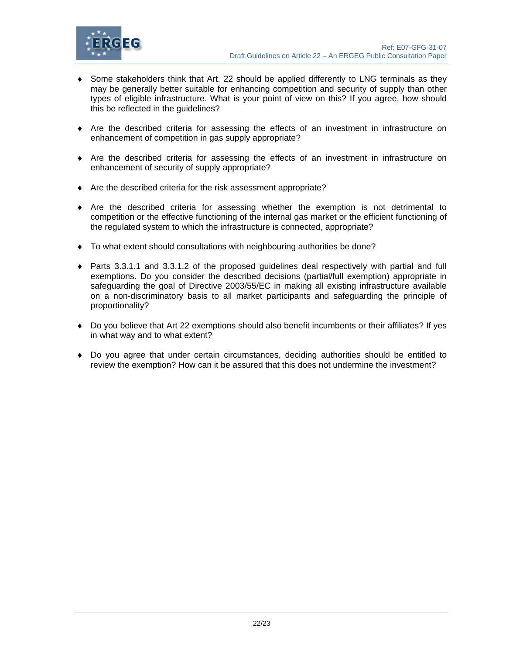

- ♦ Some stakeholders think that Art. 22 should be applied differently to LNG terminals as they may be generally better suitable for enhancing competition and security of supply than other types of eligible infrastructure. What is your point of view on this? If you agree, how should this be reflected in the guidelines?
- ♦ Are the described criteria for assessing the effects of an investment in infrastructure on enhancement of competition in gas supply appropriate?
- ♦ Are the described criteria for assessing the effects of an investment in infrastructure on enhancement of security of supply appropriate?
- ♦ Are the described criteria for the risk assessment appropriate?
- ♦ Are the described criteria for assessing whether the exemption is not detrimental to competition or the effective functioning of the internal gas market or the efficient functioning of the regulated system to which the infrastructure is connected, appropriate?
- ♦ To what extent should consultations with neighbouring authorities be done?
- ♦ Parts 3.3.1.1 and 3.3.1.2 of the proposed guidelines deal respectively with partial and full exemptions. Do you consider the described decisions (partial/full exemption) appropriate in safeguarding the goal of Directive 2003/55/EC in making all existing infrastructure available on a non-discriminatory basis to all market participants and safeguarding the principle of proportionality?
- ♦ Do you believe that Art 22 exemptions should also benefit incumbents or their affiliates? If yes in what way and to what extent?
- ♦ Do you agree that under certain circumstances, deciding authorities should be entitled to review the exemption? How can it be assured that this does not undermine the investment?